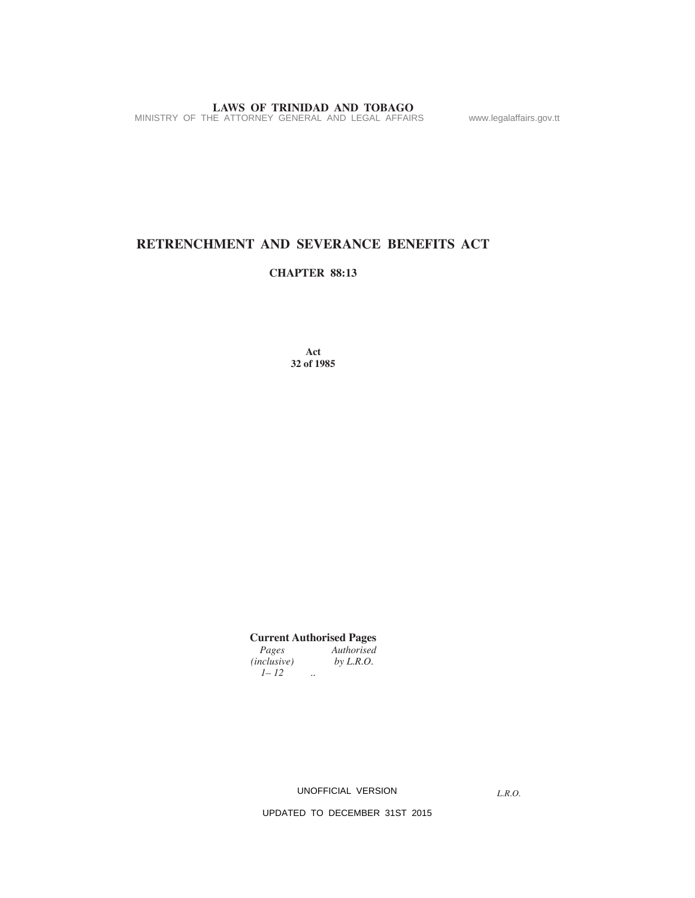**LAWS OF TRINIDAD AND TOBAGO**<br>MINISTRY OF THE ATTORNEY GENERAL AND LEGAL AFFAIRS www.legalaffairs.gov.tt

# **RETRENCHMENT AND SEVERANCE BENEFITS ACT**

### **CHAPTER 88:13**

**Act 32 of 1985**

**Current Authorised Pages**

*Pages Authorised*<br>*nclusive*) *by L.R.O.*  $(inclusive)$ *1– 12 ..*

UNOFFICIAL VERSION

*L.R.O.*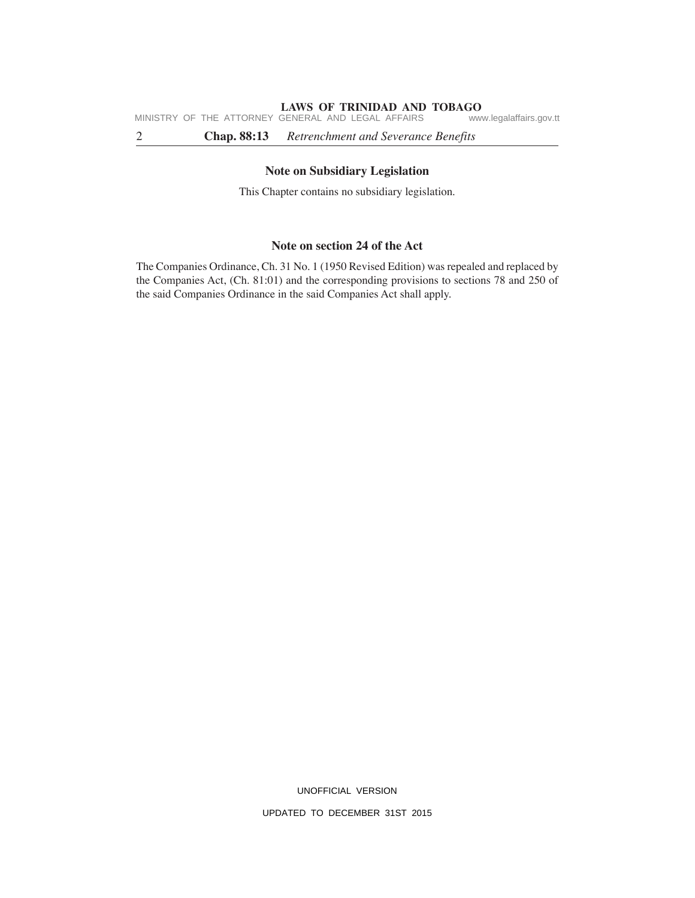#### **LAWS OF TRINIDAD AND TOBAGO**

MINISTRY OF THE ATTORNEY GENERAL AND LEGAL AFFAIRS www.legalaffairs.gov.tt

2 **Chap. 88:13** *Retrenchment and Severance Benefits*

#### **Note on Subsidiary Legislation**

This Chapter contains no subsidiary legislation.

# **Note on section 24 of the Act**

The Companies Ordinance, Ch. 31 No. 1 (1950 Revised Edition) was repealed and replaced by the Companies Act, (Ch. 81:01) and the corresponding provisions to sections 78 and 250 of the said Companies Ordinance in the said Companies Act shall apply.

UNOFFICIAL VERSION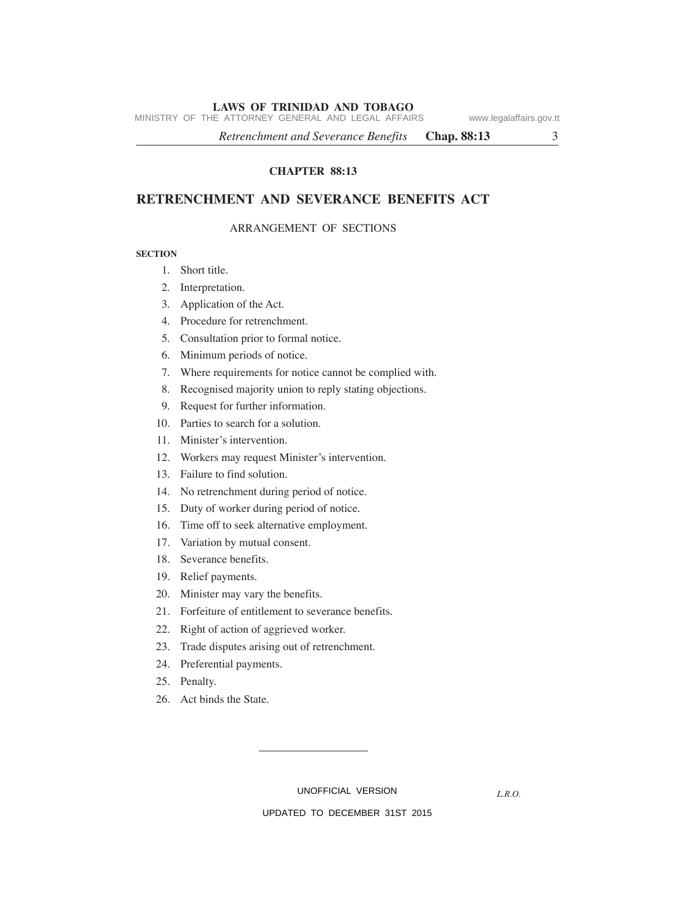#### **LAWS OF TRINIDAD AND TOBAGO**

MINISTRY OF THE ATTORNEY GENERAL AND LEGAL AFFAIRS www.legalaffairs.gov.tt

*Retrenchment and Severance Benefits* **Chap. 88:13** 3

# **CHAPTER 88:13**

# **RETRENCHMENT AND SEVERANCE BENEFITS ACT**

#### ARRANGEMENT OF SECTIONS

#### **SECTION**

- 1. Short title.
- 2. Interpretation.
- 3. Application of the Act.
- 4. Procedure for retrenchment.
- 5. Consultation prior to formal notice.
- 6. Minimum periods of notice.
- 7. Where requirements for notice cannot be complied with.
- 8. Recognised majority union to reply stating objections.
- 9. Request for further information.
- 10. Parties to search for a solution.
- 11. Minister's intervention.
- 12. Workers may request Minister's intervention.
- 13. Failure to find solution.
- 14. No retrenchment during period of notice.
- 15. Duty of worker during period of notice.
- 16. Time off to seek alternative employment.
- 17. Variation by mutual consent.
- 18. Severance benefits.
- 19. Relief payments.
- 20. Minister may vary the benefits.
- 21. Forfeiture of entitlement to severance benefits.
- 22. Right of action of aggrieved worker.
- 23. Trade disputes arising out of retrenchment.
- 24. Preferential payments.
- 25. Penalty.
- 26. Act binds the State.

UNOFFICIAL VERSION

*L.R.O.*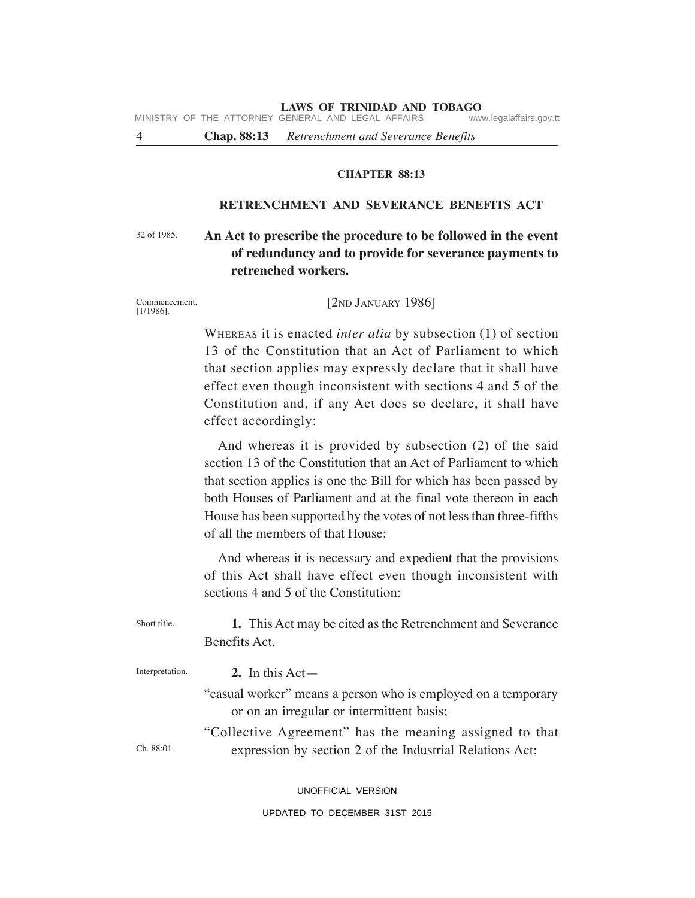**LAWS OF TRINIDAD AND TOBAGO**<br>GENERAL AND LEGAL AFFAIRS www.legalaffairs.gov.tt MINISTRY OF THE ATTORNEY GENERAL AND LEGAL AFFAIRS

4 **Chap. 88:13** *Retrenchment and Severance Benefits*

### **CHAPTER 88:13**

# **RETRENCHMENT AND SEVERANCE BENEFITS ACT**

#### **An Act to prescribe the procedure to be followed in the event of redundancy and to provide for severance payments to retrenched workers.** 32 of 1985.

Commencement. [1/1986].

[2ND JANUARY 1986]

WHEREAS it is enacted *inter alia* by subsection (1) of section 13 of the Constitution that an Act of Parliament to which that section applies may expressly declare that it shall have effect even though inconsistent with sections 4 and 5 of the Constitution and, if any Act does so declare, it shall have effect accordingly:

And whereas it is provided by subsection (2) of the said section 13 of the Constitution that an Act of Parliament to which that section applies is one the Bill for which has been passed by both Houses of Parliament and at the final vote thereon in each House has been supported by the votes of not less than three-fifths of all the members of that House:

And whereas it is necessary and expedient that the provisions of this Act shall have effect even though inconsistent with sections 4 and 5 of the Constitution:

| Short title.    | 1. This Act may be cited as the Retrenchment and Severance                                                          |  |
|-----------------|---------------------------------------------------------------------------------------------------------------------|--|
|                 | Benefits Act.                                                                                                       |  |
| Interpretation. | 2. In this $Act-$                                                                                                   |  |
|                 | "casual worker" means a person who is employed on a temporary<br>or on an irregular or intermittent basis;          |  |
| Ch. 88:01.      | "Collective Agreement" has the meaning assigned to that<br>expression by section 2 of the Industrial Relations Act; |  |
|                 |                                                                                                                     |  |

UNOFFICIAL VERSION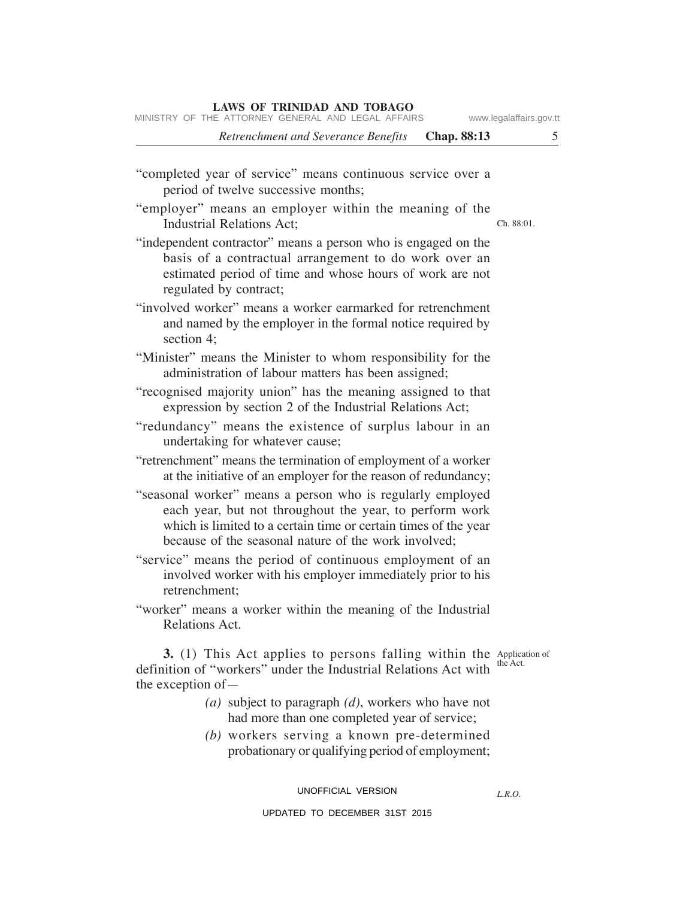MINISTRY OF THE ATTORNEY GENERAL AND LEGAL AFFAIRS www.legalaffairs.gov.tt

*Retrenchment and Severance Benefits* **Chap. 88:13** 5

# "completed year of service" means continuous service over a period of twelve successive months;

"employer" means an employer within the meaning of the Industrial Relations Act;

"independent contractor" means a person who is engaged on the basis of a contractual arrangement to do work over an estimated period of time and whose hours of work are not regulated by contract;

"involved worker" means a worker earmarked for retrenchment and named by the employer in the formal notice required by section 4;

- "Minister" means the Minister to whom responsibility for the administration of labour matters has been assigned;
- "recognised majority union" has the meaning assigned to that expression by section 2 of the Industrial Relations Act;
- "redundancy" means the existence of surplus labour in an undertaking for whatever cause;
- "retrenchment" means the termination of employment of a worker at the initiative of an employer for the reason of redundancy;
- "seasonal worker" means a person who is regularly employed each year, but not throughout the year, to perform work which is limited to a certain time or certain times of the year because of the seasonal nature of the work involved;
- "service" means the period of continuous employment of an involved worker with his employer immediately prior to his retrenchment;
- "worker" means a worker within the meaning of the Industrial Relations Act.

**3.** (1) This Act applies to persons falling within the Application of the Act.

*L.R.O.* 

- definition of "workers" under the Industrial Relations Act with the exception of— *(a)* subject to paragraph *(d)*, workers who have not
	- had more than one completed year of service;
	- *(b)* workers serving a known pre-determined probationary or qualifying period of employment;

#### UNOFFICIAL VERSION

#### UPDATED TO DECEMBER 31ST 2015

Ch. 88:01.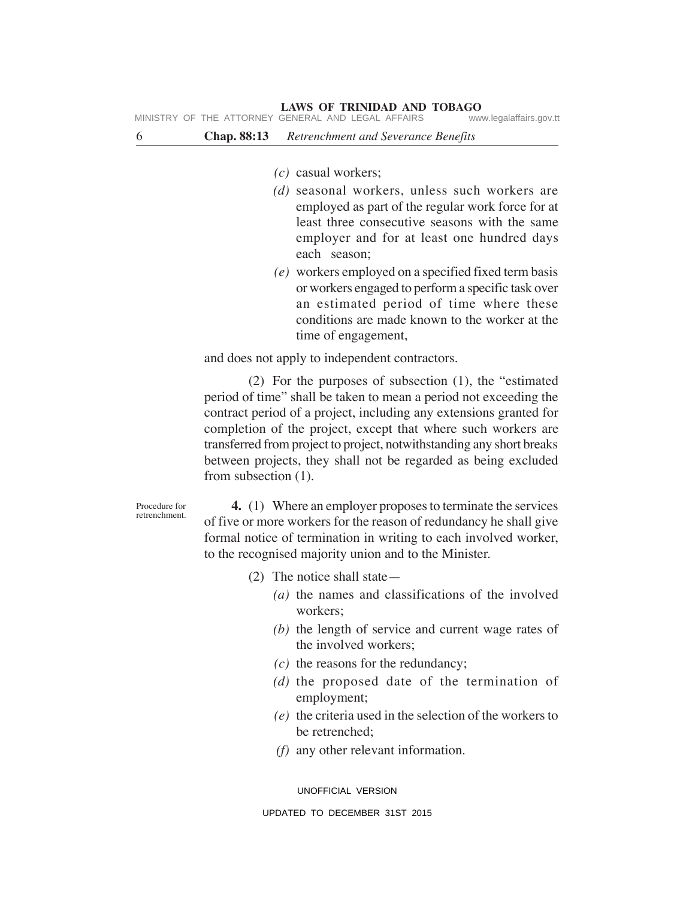| 6 | <b>Chap.</b> 88:13 | Retrenchment and Severance Benefits |
|---|--------------------|-------------------------------------|
|   |                    |                                     |

- *(c)* casual workers;
- *(d)* seasonal workers, unless such workers are employed as part of the regular work force for at least three consecutive seasons with the same employer and for at least one hundred days each season;
- *(e)* workers employed on a specified fixed term basis or workers engaged to perform a specific task over an estimated period of time where these conditions are made known to the worker at the time of engagement,

and does not apply to independent contractors.

(2) For the purposes of subsection (1), the "estimated period of time" shall be taken to mean a period not exceeding the contract period of a project, including any extensions granted for completion of the project, except that where such workers are transferred from project to project, notwithstanding any short breaks between projects, they shall not be regarded as being excluded from subsection (1).

Procedure for retrenchment.

**4.** (1) Where an employer proposes to terminate the services of five or more workers for the reason of redundancy he shall give formal notice of termination in writing to each involved worker, to the recognised majority union and to the Minister.

- (2) The notice shall state—
	- *(a)* the names and classifications of the involved workers;
	- *(b)* the length of service and current wage rates of the involved workers;
	- *(c)* the reasons for the redundancy;
	- *(d)* the proposed date of the termination of employment;
	- *(e)* the criteria used in the selection of the workers to be retrenched;
	- *(f)* any other relevant information.

UNOFFICIAL VERSION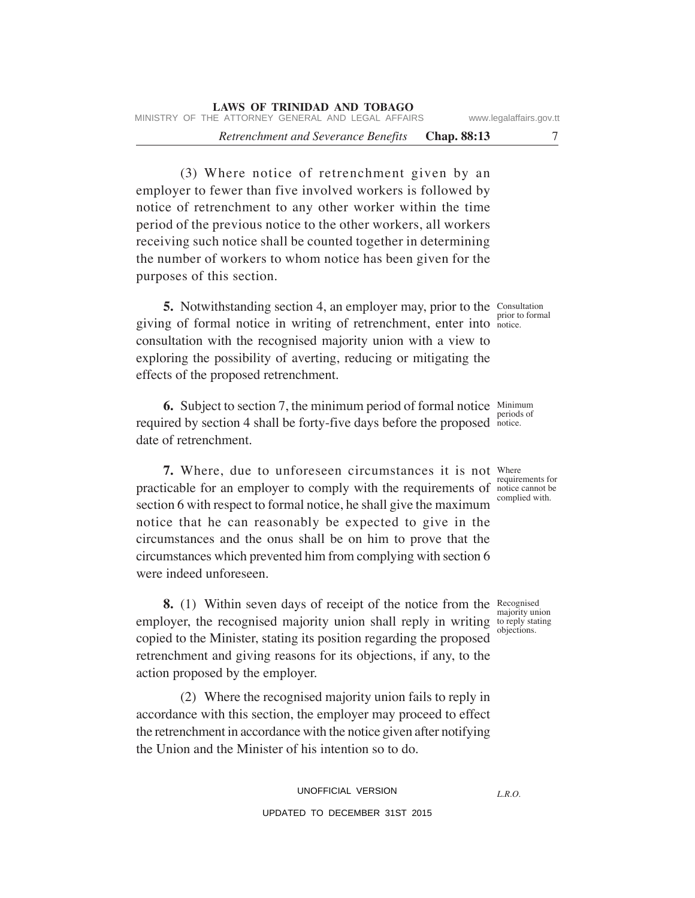*Retrenchment and Severance Benefits* **Chap. 88:13** 7

(3) Where notice of retrenchment given by an employer to fewer than five involved workers is followed by notice of retrenchment to any other worker within the time period of the previous notice to the other workers, all workers receiving such notice shall be counted together in determining the number of workers to whom notice has been given for the purposes of this section.

**5.** Notwithstanding section 4, an employer may, prior to the Consultation giving of formal notice in writing of retrenchment, enter into notice. consultation with the recognised majority union with a view to exploring the possibility of averting, reducing or mitigating the effects of the proposed retrenchment.

**6.** Subject to section 7, the minimum period of formal notice Minimum required by section 4 shall be forty-five days before the proposed notice. date of retrenchment. notice.

**7.** Where, due to unforeseen circumstances it is not Where practicable for an employer to comply with the requirements of notice cannot be section 6 with respect to formal notice, he shall give the maximum notice that he can reasonably be expected to give in the circumstances and the onus shall be on him to prove that the circumstances which prevented him from complying with section 6 were indeed unforeseen.

**8.** (1) Within seven days of receipt of the notice from the Recognised employer, the recognised majority union shall reply in writing to reply stating copied to the Minister, stating its position regarding the proposed retrenchment and giving reasons for its objections, if any, to the action proposed by the employer.

(2) Where the recognised majority union fails to reply in accordance with this section, the employer may proceed to effect the retrenchment in accordance with the notice given after notifying the Union and the Minister of his intention so to do.

> UNOFFICIAL VERSION UPDATED TO DECEMBER 31ST 2015

prior to formal

requirements for

complied with.

majority union objections.

*L.R.O.*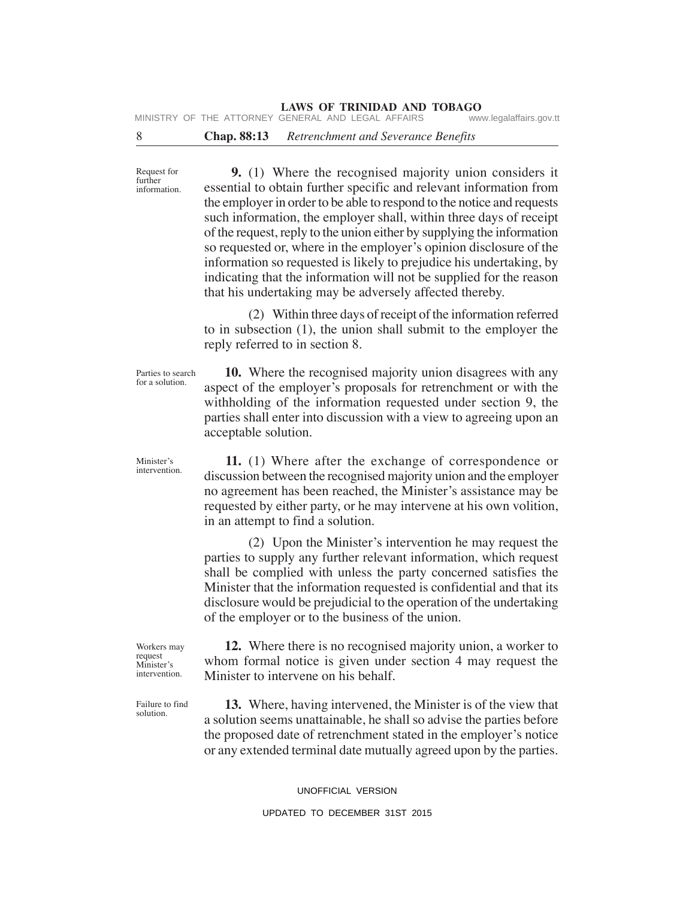# **LAWS OF TRINIDAD AND TOBAGO**<br>GENERAL AND LEGAL AFFAIRS www.legalaffairs.gov.tt

MINISTRY OF THE ATTORNEY GENERAL AND LEGAL AFFAIRS

### 8 **Chap. 88:13** *Retrenchment and Severance Benefits*

**9.** (1) Where the recognised majority union considers it essential to obtain further specific and relevant information from the employer in order to be able to respond to the notice and requests such information, the employer shall, within three days of receipt of the request, reply to the union either by supplying the information so requested or, where in the employer's opinion disclosure of the information so requested is likely to prejudice his undertaking, by indicating that the information will not be supplied for the reason that his undertaking may be adversely affected thereby.

(2) Within three days of receipt of the information referred to in subsection (1), the union shall submit to the employer the reply referred to in section 8.

**10.** Where the recognised majority union disagrees with any aspect of the employer's proposals for retrenchment or with the withholding of the information requested under section 9, the parties shall enter into discussion with a view to agreeing upon an acceptable solution.

**11.** (1) Where after the exchange of correspondence or discussion between the recognised majority union and the employer no agreement has been reached, the Minister's assistance may be requested by either party, or he may intervene at his own volition, in an attempt to find a solution.

(2) Upon the Minister's intervention he may request the parties to supply any further relevant information, which request shall be complied with unless the party concerned satisfies the Minister that the information requested is confidential and that its disclosure would be prejudicial to the operation of the undertaking of the employer or to the business of the union.

Workers may request Minister's intervention.

Failure to find solution.

**12.** Where there is no recognised majority union, a worker to whom formal notice is given under section 4 may request the Minister to intervene on his behalf.

**13.** Where, having intervened, the Minister is of the view that a solution seems unattainable, he shall so advise the parties before the proposed date of retrenchment stated in the employer's notice or any extended terminal date mutually agreed upon by the parties.

#### UPDATED TO DECEMBER 31ST 2015

Request for further information.

Minister's intervention.

Parties to search for a solution.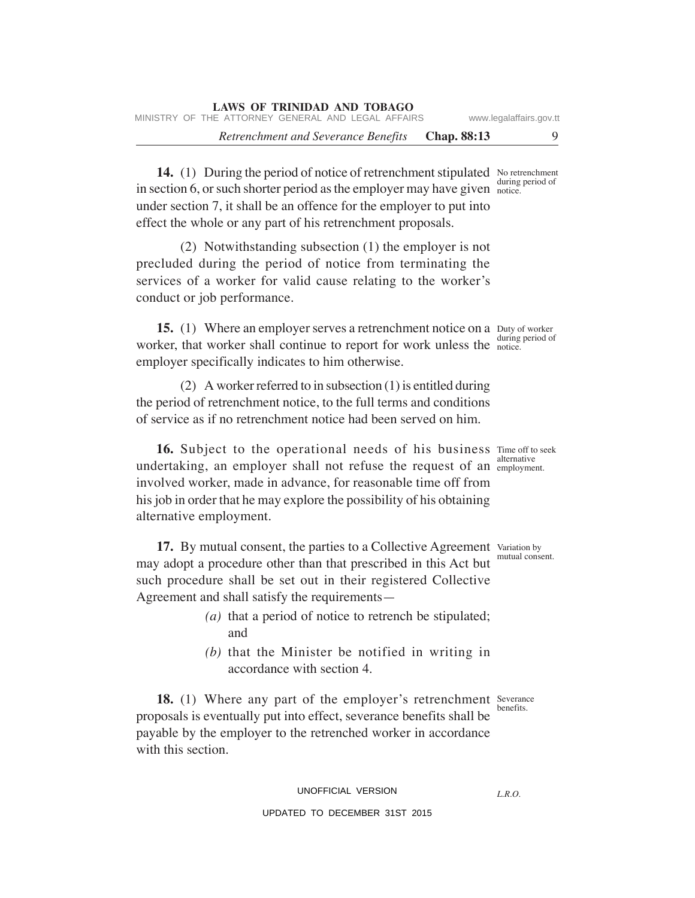*Retrenchment and Severance Benefits* **Chap. 88:13** 9

14. (1) During the period of notice of retrenchment stipulated No retrenchment in section 6, or such shorter period as the employer may have given  $\frac{num}{noise}$ . under section 7, it shall be an offence for the employer to put into effect the whole or any part of his retrenchment proposals.

(2) Notwithstanding subsection (1) the employer is not precluded during the period of notice from terminating the services of a worker for valid cause relating to the worker's conduct or job performance.

**15.** (1) Where an employer serves a retrenchment notice on a Duty of worker worker, that worker shall continue to report for work unless the notice. employer specifically indicates to him otherwise. during period of

(2) A worker referred to in subsection (1) is entitled during the period of retrenchment notice, to the full terms and conditions of service as if no retrenchment notice had been served on him.

**16.** Subject to the operational needs of his business Time off to seek undertaking, an employer shall not refuse the request of an employment. involved worker, made in advance, for reasonable time off from his job in order that he may explore the possibility of his obtaining alternative employment.

17. By mutual consent, the parties to a Collective Agreement Variation by may adopt a procedure other than that prescribed in this Act but such procedure shall be set out in their registered Collective Agreement and shall satisfy the requirements—

- *(a)* that a period of notice to retrench be stipulated; and
- *(b)* that the Minister be notified in writing in accordance with section 4.

**18.** (1) Where any part of the employer's retrenchment Severance proposals is eventually put into effect, severance benefits shall be payable by the employer to the retrenched worker in accordance with this section. benefits.

> UNOFFICIAL VERSION UPDATED TO DECEMBER 31ST 2015

*L.R.O.* 

mutual consent.

during period of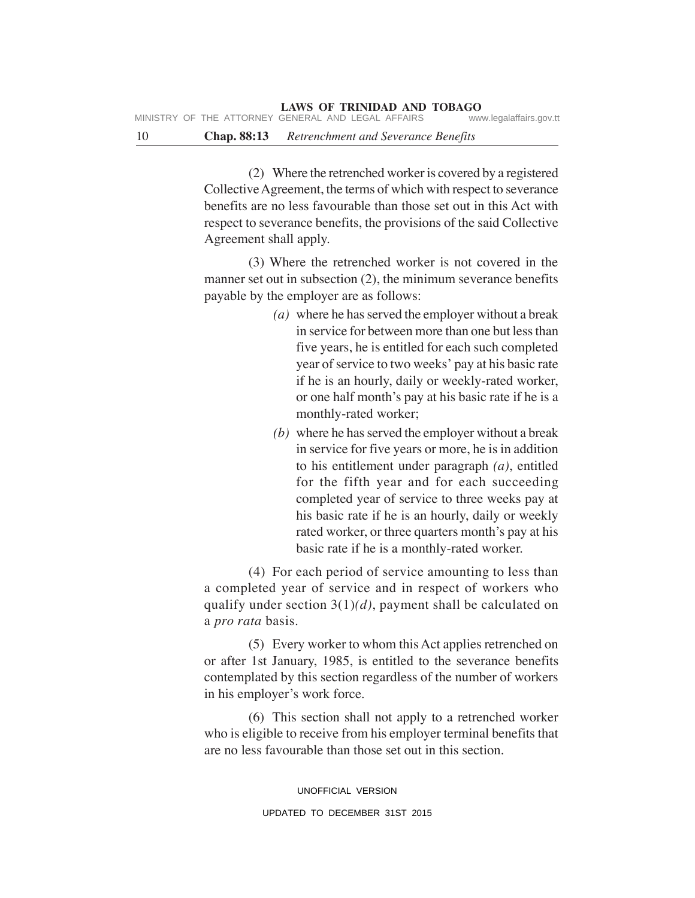10 **Chap. 88:13** *Retrenchment and Severance Benefits*

(2) Where the retrenched worker is covered by a registered Collective Agreement, the terms of which with respect to severance benefits are no less favourable than those set out in this Act with respect to severance benefits, the provisions of the said Collective Agreement shall apply.

(3) Where the retrenched worker is not covered in the manner set out in subsection (2), the minimum severance benefits payable by the employer are as follows:

- *(a)* where he has served the employer without a break in service for between more than one but less than five years, he is entitled for each such completed year of service to two weeks' pay at his basic rate if he is an hourly, daily or weekly-rated worker, or one half month's pay at his basic rate if he is a monthly-rated worker;
- *(b)* where he has served the employer without a break in service for five years or more, he is in addition to his entitlement under paragraph *(a)*, entitled for the fifth year and for each succeeding completed year of service to three weeks pay at his basic rate if he is an hourly, daily or weekly rated worker, or three quarters month's pay at his basic rate if he is a monthly-rated worker.

(4) For each period of service amounting to less than a completed year of service and in respect of workers who qualify under section 3(1)*(d)*, payment shall be calculated on a *pro rata* basis.

(5) Every worker to whom this Act applies retrenched on or after 1st January, 1985, is entitled to the severance benefits contemplated by this section regardless of the number of workers in his employer's work force.

(6) This section shall not apply to a retrenched worker who is eligible to receive from his employer terminal benefits that are no less favourable than those set out in this section.

> UNOFFICIAL VERSION UPDATED TO DECEMBER 31ST 2015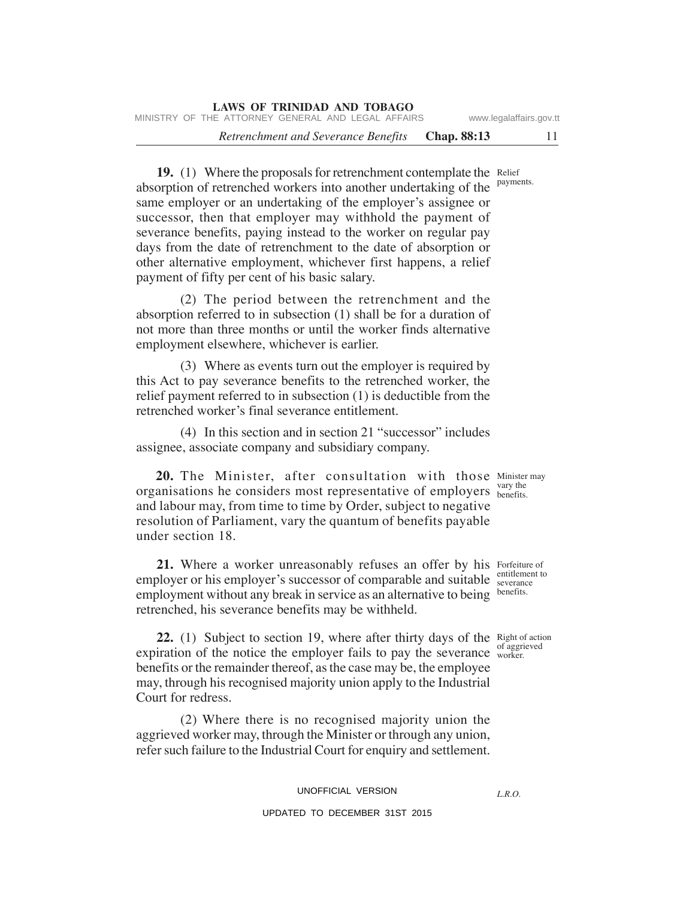19. (1) Where the proposals for retrenchment contemplate the Relief absorption of retrenched workers into another undertaking of the same employer or an undertaking of the employer's assignee or successor, then that employer may withhold the payment of severance benefits, paying instead to the worker on regular pay days from the date of retrenchment to the date of absorption or other alternative employment, whichever first happens, a relief payment of fifty per cent of his basic salary. payments.

(2) The period between the retrenchment and the absorption referred to in subsection (1) shall be for a duration of not more than three months or until the worker finds alternative employment elsewhere, whichever is earlier.

(3) Where as events turn out the employer is required by this Act to pay severance benefits to the retrenched worker, the relief payment referred to in subsection (1) is deductible from the retrenched worker's final severance entitlement.

(4) In this section and in section 21 "successor" includes assignee, associate company and subsidiary company.

**20.** The Minister, after consultation with those Minister may organisations he considers most representative of employers vary the and labour may, from time to time by Order, subject to negative resolution of Parliament, vary the quantum of benefits payable under section 18.

21. Where a worker unreasonably refuses an offer by his Forfeiture of employer or his employer's successor of comparable and suitable severance to employment without any break in service as an alternative to being benefits. retrenched, his severance benefits may be withheld.

**22.** (1) Subject to section 19, where after thirty days of the Right of action expiration of the notice the employer fails to pay the severance  $\frac{d}{d}$  worker. benefits or the remainder thereof, as the case may be, the employee may, through his recognised majority union apply to the Industrial Court for redress.

(2) Where there is no recognised majority union the aggrieved worker may, through the Minister or through any union, refer such failure to the Industrial Court for enquiry and settlement.

# UNOFFICIAL VERSION

# UPDATED TO DECEMBER 31ST 2015

*L.R.O.* 

benefits.

of aggrieved